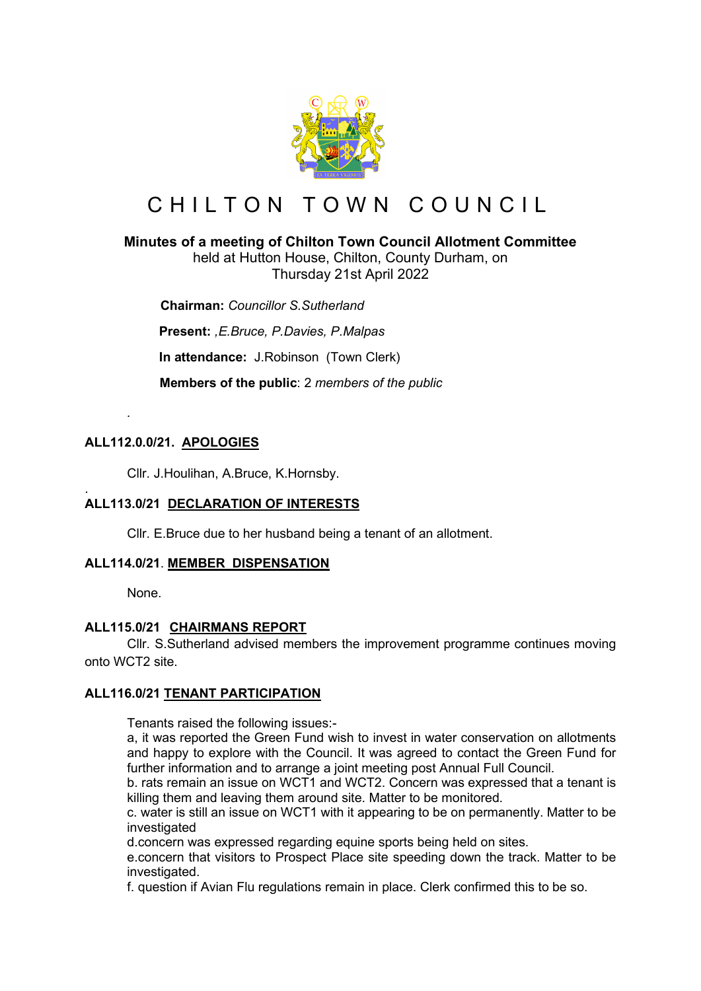

# CHILTON TOWN COUNCIL

# **Minutes of a meeting of Chilton Town Council Allotment Committee**

held at Hutton House, Chilton, County Durham, on Thursday 21st April 2022

 **Chairman:** *Councillor S.Sutherland*

**Present:** *,E.Bruce, P.Davies, P.Malpas*

**In attendance:** J.Robinson (Town Clerk)

 **Members of the public**: 2 *members of the public*

# **ALL112.0.0/21. APOLOGIES**

*.* 

Cllr. J.Houlihan, A.Bruce, K.Hornsby.

#### . **ALL113.0/21 DECLARATION OF INTERESTS**

Cllr. E.Bruce due to her husband being a tenant of an allotment.

# **ALL114.0/21**. **MEMBER DISPENSATION**

None.

#### **ALL115.0/21 CHAIRMANS REPORT**

Cllr. S.Sutherland advised members the improvement programme continues moving onto WCT2 site.

#### **ALL116.0/21 TENANT PARTICIPATION**

Tenants raised the following issues:-

a, it was reported the Green Fund wish to invest in water conservation on allotments and happy to explore with the Council. It was agreed to contact the Green Fund for further information and to arrange a joint meeting post Annual Full Council.

b. rats remain an issue on WCT1 and WCT2. Concern was expressed that a tenant is killing them and leaving them around site. Matter to be monitored.

c. water is still an issue on WCT1 with it appearing to be on permanently. Matter to be investigated

d.concern was expressed regarding equine sports being held on sites.

e.concern that visitors to Prospect Place site speeding down the track. Matter to be investigated.

f. question if Avian Flu regulations remain in place. Clerk confirmed this to be so.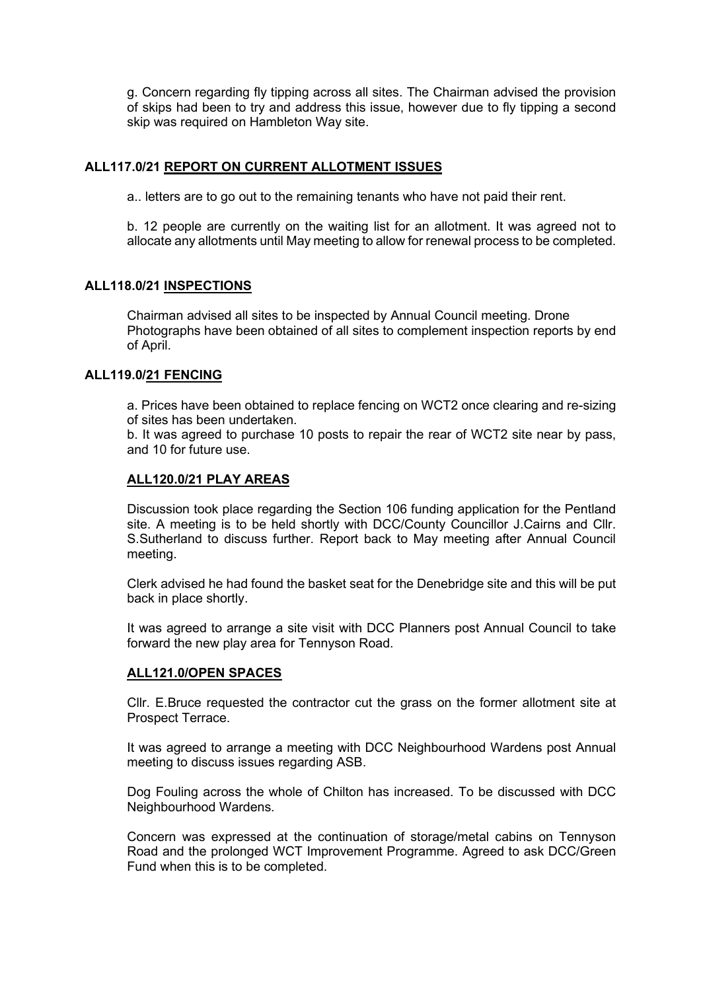g. Concern regarding fly tipping across all sites. The Chairman advised the provision of skips had been to try and address this issue, however due to fly tipping a second skip was required on Hambleton Way site.

### **ALL117.0/21 REPORT ON CURRENT ALLOTMENT ISSUES**

a.. letters are to go out to the remaining tenants who have not paid their rent.

b. 12 people are currently on the waiting list for an allotment. It was agreed not to allocate any allotments until May meeting to allow for renewal process to be completed.

#### **ALL118.0/21 INSPECTIONS**

 Chairman advised all sites to be inspected by Annual Council meeting. Drone Photographs have been obtained of all sites to complement inspection reports by end of April.

#### **ALL119.0/21 FENCING**

a. Prices have been obtained to replace fencing on WCT2 once clearing and re-sizing of sites has been undertaken.

b. It was agreed to purchase 10 posts to repair the rear of WCT2 site near by pass, and 10 for future use.

#### **ALL120.0/21 PLAY AREAS**

Discussion took place regarding the Section 106 funding application for the Pentland site. A meeting is to be held shortly with DCC/County Councillor J.Cairns and Cllr. S.Sutherland to discuss further. Report back to May meeting after Annual Council meeting.

Clerk advised he had found the basket seat for the Denebridge site and this will be put back in place shortly.

It was agreed to arrange a site visit with DCC Planners post Annual Council to take forward the new play area for Tennyson Road.

#### **ALL121.0/OPEN SPACES**

Cllr. E.Bruce requested the contractor cut the grass on the former allotment site at Prospect Terrace.

It was agreed to arrange a meeting with DCC Neighbourhood Wardens post Annual meeting to discuss issues regarding ASB.

Dog Fouling across the whole of Chilton has increased. To be discussed with DCC Neighbourhood Wardens.

Concern was expressed at the continuation of storage/metal cabins on Tennyson Road and the prolonged WCT Improvement Programme. Agreed to ask DCC/Green Fund when this is to be completed.